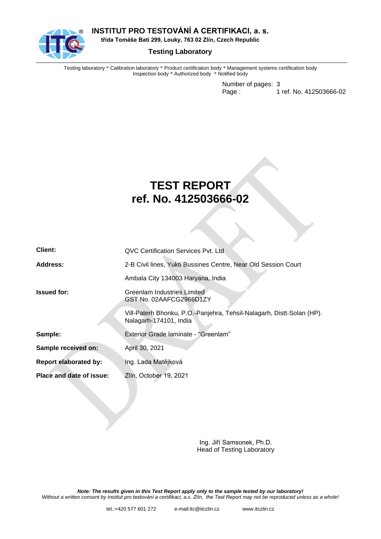

**INSTITUT PRO TESTOVÁNÍ A CERTIFIKACI, a. s.**

**třída Tomáše Bati 299, Louky, 763 02 Zlín, Czech Republic**

#### **Testing Laboratory**

Testing laboratory \* Calibration laboratory \* Product certification body \* Management systems certification body Inspection body \* Authorized body \* Notified body

> Number of pages: 3 Page : 1 ref. No. 412503666-02

# **TEST REPORT ref. No. 412503666-02**

| Client:                      | QVC Certification Services Pvt. Ltd                                                             |  |  |  |
|------------------------------|-------------------------------------------------------------------------------------------------|--|--|--|
| Address:                     | 2-B Civil lines, Yukti Bussines Centre, Near Old Session Court                                  |  |  |  |
|                              | Ambala City 134003 Haryana, India                                                               |  |  |  |
| <b>Issued for:</b>           | Greenlam Industries Limited<br>GST No. 02AAFCG2966D1ZY                                          |  |  |  |
|                              | Vill-Paterh Bhonku, P.O.-Panjehra, Tehsil-Nalagarh, Distt-Solan (HP).<br>Nalagarh-174101, India |  |  |  |
| Sample:                      | Exterior Grade laminate - "Greenlam"                                                            |  |  |  |
| Sample received on:          | April 30, 2021                                                                                  |  |  |  |
| <b>Report elaborated by:</b> | Ing. Lada Matějková                                                                             |  |  |  |
| Place and date of issue:     | Zlín, October 19, 2021                                                                          |  |  |  |

Ing. Jiří Samsonek, Ph.D. Head of Testing Laboratory

*Note: The results given in this Test Report apply only to the sample tested by our laboratory! Without a written consent by Institut pro testování a certifikaci, a.s. Zlín, the Test Report may not be reproduced unless as a whole!*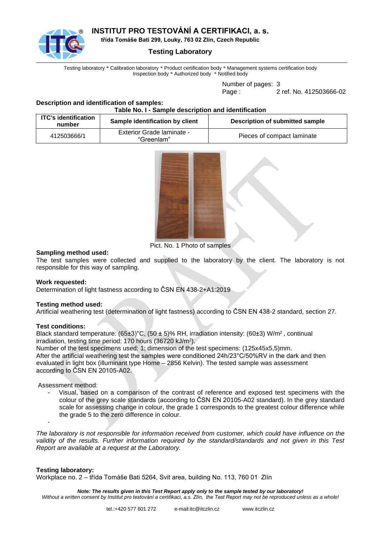

## **INSTITUT PRO TESTOVÁNÍ A CERTIFIKACI, a. s.**

**třída Tomáše Bati 299, Louky, 763 02 Zlín, Czech Republic**

#### **Testing Laboratory**

Testing laboratory \* Calibration laboratory \* Product certification body \* Management systems certification body Inspection body \* Authorized body \* Notified body

Number of pages: 3

Page : 2 ref. No. 412503666-02

#### **Description and identification of samples: Table No. I - Sample description and identification**

| <b>ITC's identification</b><br>number | Sample identification by client         | Description of submitted sample |
|---------------------------------------|-----------------------------------------|---------------------------------|
| 412503666/1                           | Exterior Grade laminate -<br>"Greenlam" | Pieces of compact laminate      |



Pict. No. 1 Photo of samples

#### **Sampling method used:**

The test samples were collected and supplied to the laboratory by the client. The laboratory is not responsible for this way of sampling.

#### **Work requested:**

Determination of light fastness according to ČSN EN 438-2+A1:2019

#### **Testing method used:**

Artificial weathering test (determination of light fastness) according to ČSN EN 438-2 standard, section 27.

#### **Test conditions:**

Black standard temperature:  $(65\pm3)$ °C,  $(50\pm5)$ % RH, irradiation intensity:  $(60\pm3)$  W/m<sup>2</sup>, continual irradiation, testing time period: 170 hours (36720 kJ/m<sup>2</sup> ).

Number of the test specimens used: 1; dimension of the test specimens: (125x45x5,5)mm. After the artificial weathering test the samples were conditioned 24h/23°C/50%RV in the dark and then evaluated in light box (illuminant type Home – 2856 Kelvin). The tested sample was assessment according to ČSN EN 20105-A02.

#### Assessment method:

- Visual, based on a comparison of the contrast of reference and exposed test specimens with the colour of the grey scale standards (according to ČSN EN 20105-A02 standard). In the grey standard scale for assessing change in colour, the grade 1 corresponds to the greatest colour difference while the grade 5 to the zero difference in colour.

*The laboratory is not responsible for information received from customer, which could have influence on the validity of the results. Further information required by the standard/standards and not given in this Test Report are available at a request at the Laboratory.*

#### **Testing laboratory:**

-

Workplace no. 2 – třída Tomáše Bati 5264, Svit area, building No. 113, 760 01 Zlín

*Note: The results given in this Test Report apply only to the sample tested by our laboratory! Without a written consent by Institut pro testování a certifikaci, a.s. Zlín, the Test Report may not be reproduced unless as a whole!*